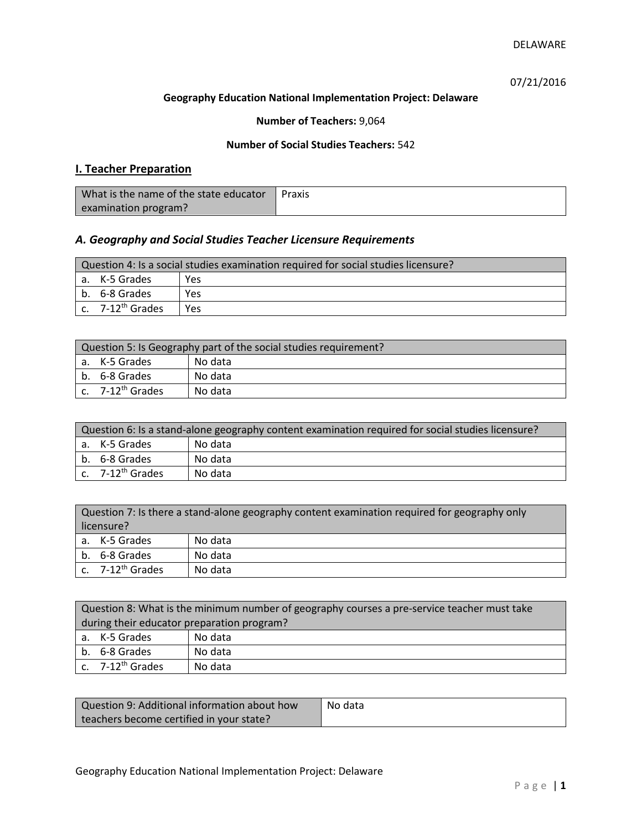07/21/2016

#### **Geography Education National Implementation Project: Delaware**

## **Number of Teachers:** 9,064

### **Number of Social Studies Teachers:** 542

# **I. Teacher Preparation**

| What is the name of the state educator | Praxis |
|----------------------------------------|--------|
| examination program?                   |        |

# *A. Geography and Social Studies Teacher Licensure Requirements*

| Question 4: Is a social studies examination required for social studies licensure? |                              |      |
|------------------------------------------------------------------------------------|------------------------------|------|
|                                                                                    | a. K-5 Grades                | Yes  |
|                                                                                    | b. 6-8 Grades                | Yes  |
|                                                                                    | c. 7-12 <sup>th</sup> Grades | Yes. |

| Question 5: Is Geography part of the social studies requirement? |                                |         |
|------------------------------------------------------------------|--------------------------------|---------|
|                                                                  | a. K-5 Grades                  | No data |
|                                                                  | b. 6-8 Grades                  | No data |
|                                                                  | $c.$ 7-12 <sup>th</sup> Grades | No data |

| Question 6: Is a stand-alone geography content examination required for social studies licensure? |                              |         |
|---------------------------------------------------------------------------------------------------|------------------------------|---------|
|                                                                                                   | a. K-5 Grades                | No data |
|                                                                                                   | b. 6-8 Grades                | No data |
|                                                                                                   | c. 7-12 <sup>th</sup> Grades | No data |

| Question 7: Is there a stand-alone geography content examination required for geography only<br>licensure? |                       |         |
|------------------------------------------------------------------------------------------------------------|-----------------------|---------|
|                                                                                                            | a. K-5 Grades         | No data |
|                                                                                                            | b. 6-8 Grades         | No data |
|                                                                                                            | c. $7-12^{th}$ Grades | No data |

|                                            | Question 8: What is the minimum number of geography courses a pre-service teacher must take |         |  |
|--------------------------------------------|---------------------------------------------------------------------------------------------|---------|--|
| during their educator preparation program? |                                                                                             |         |  |
|                                            | a. K-5 Grades                                                                               | No data |  |
|                                            | b. 6-8 Grades                                                                               | No data |  |
|                                            | c. $7-12^{th}$ Grades                                                                       | No data |  |

| Question 9: Additional information about how | No data |
|----------------------------------------------|---------|
| teachers become certified in your state?     |         |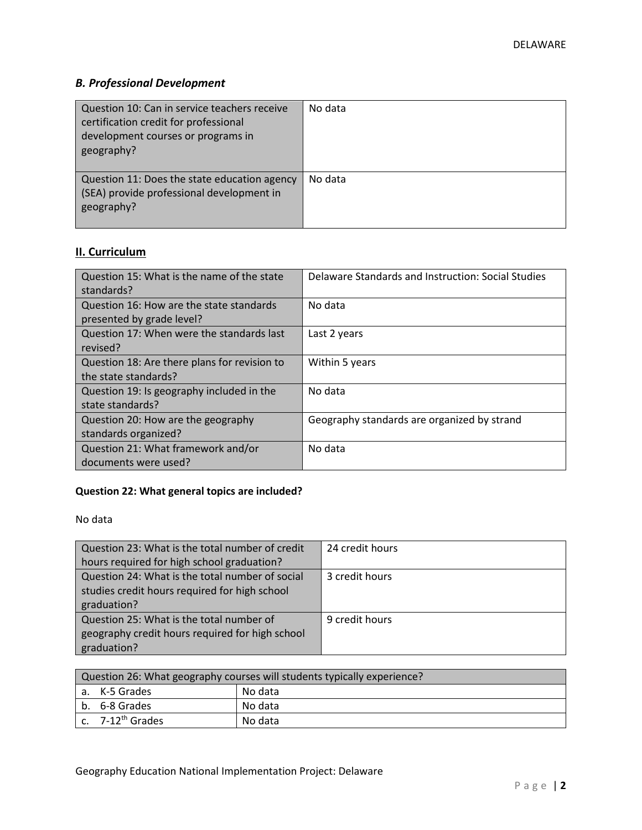# *B. Professional Development*

| Question 10: Can in service teachers receive<br>certification credit for professional<br>development courses or programs in<br>geography? | No data |
|-------------------------------------------------------------------------------------------------------------------------------------------|---------|
| Question 11: Does the state education agency<br>(SEA) provide professional development in<br>geography?                                   | No data |

# **II. Curriculum**

| Question 15: What is the name of the state   | Delaware Standards and Instruction: Social Studies |
|----------------------------------------------|----------------------------------------------------|
| standards?                                   |                                                    |
| Question 16: How are the state standards     | No data                                            |
| presented by grade level?                    |                                                    |
| Question 17: When were the standards last    | Last 2 years                                       |
| revised?                                     |                                                    |
| Question 18: Are there plans for revision to | Within 5 years                                     |
| the state standards?                         |                                                    |
| Question 19: Is geography included in the    | No data                                            |
| state standards?                             |                                                    |
| Question 20: How are the geography           | Geography standards are organized by strand        |
| standards organized?                         |                                                    |
| Question 21: What framework and/or           | No data                                            |
| documents were used?                         |                                                    |

# **Question 22: What general topics are included?**

No data

| Question 23: What is the total number of credit | 24 credit hours |
|-------------------------------------------------|-----------------|
| hours required for high school graduation?      |                 |
| Question 24: What is the total number of social | 3 credit hours  |
| studies credit hours required for high school   |                 |
| graduation?                                     |                 |
| Question 25: What is the total number of        | 9 credit hours  |
| geography credit hours required for high school |                 |
| graduation?                                     |                 |

| Question 26: What geography courses will students typically experience? |                              |         |
|-------------------------------------------------------------------------|------------------------------|---------|
|                                                                         | a. K-5 Grades                | No data |
|                                                                         | b. 6-8 Grades                | No data |
|                                                                         | c. 7-12 <sup>th</sup> Grades | No data |